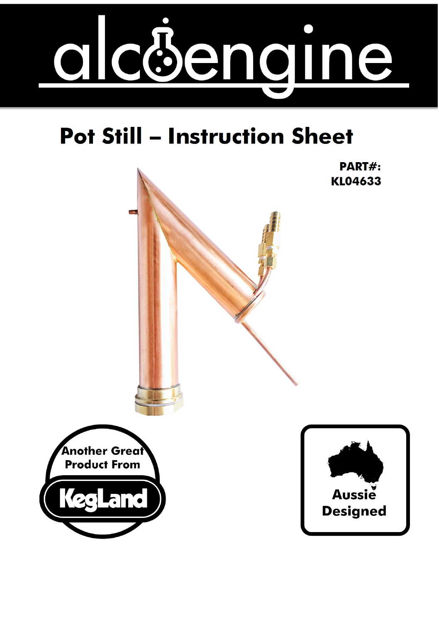

# **Pot Still - Instruction Sheet**

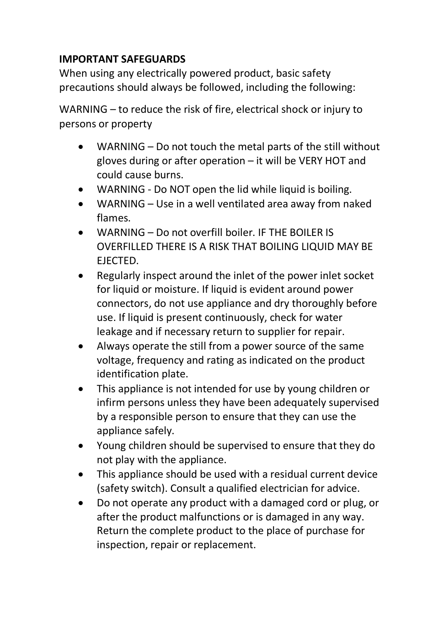#### **IMPORTANT SAFEGUARDS**

When using any electrically powered product, basic safety precautions should always be followed, including the following:

WARNING – to reduce the risk of fire, electrical shock or injury to persons or property

- WARNING Do not touch the metal parts of the still without gloves during or after operation – it will be VERY HOT and could cause burns.
- WARNING Do NOT open the lid while liquid is boiling.
- WARNING Use in a well ventilated area away from naked flames.
- WARNING Do not overfill boiler. IF THE BOILER IS OVERFILLED THERE IS A RISK THAT BOILING LIQUID MAY BE EJECTED.
- Regularly inspect around the inlet of the power inlet socket for liquid or moisture. If liquid is evident around power connectors, do not use appliance and dry thoroughly before use. If liquid is present continuously, check for water leakage and if necessary return to supplier for repair.
- Always operate the still from a power source of the same voltage, frequency and rating as indicated on the product identification plate.
- This appliance is not intended for use by young children or infirm persons unless they have been adequately supervised by a responsible person to ensure that they can use the appliance safely.
- Young children should be supervised to ensure that they do not play with the appliance.
- This appliance should be used with a residual current device (safety switch). Consult a qualified electrician for advice.
- Do not operate any product with a damaged cord or plug, or after the product malfunctions or is damaged in any way. Return the complete product to the place of purchase for inspection, repair or replacement.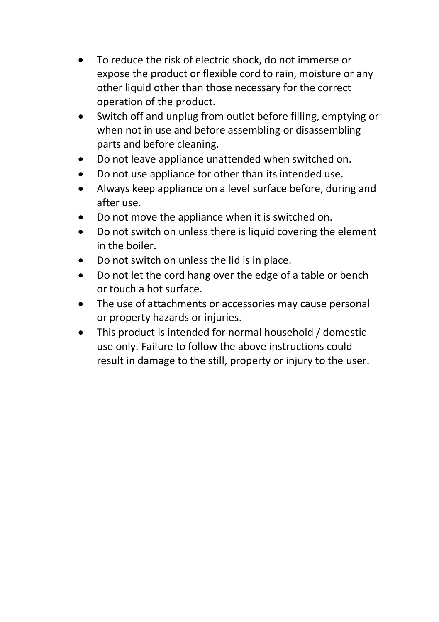- To reduce the risk of electric shock, do not immerse or expose the product or flexible cord to rain, moisture or any other liquid other than those necessary for the correct operation of the product.
- Switch off and unplug from outlet before filling, emptying or when not in use and before assembling or disassembling parts and before cleaning.
- Do not leave appliance unattended when switched on.
- Do not use appliance for other than its intended use.
- Always keep appliance on a level surface before, during and after use.
- Do not move the appliance when it is switched on.
- Do not switch on unless there is liquid covering the element in the boiler.
- Do not switch on unless the lid is in place.
- Do not let the cord hang over the edge of a table or bench or touch a hot surface.
- The use of attachments or accessories may cause personal or property hazards or injuries.
- This product is intended for normal household / domestic use only. Failure to follow the above instructions could result in damage to the still, property or injury to the user.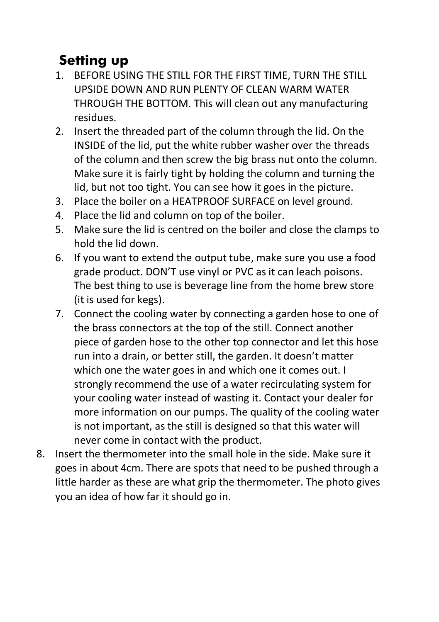## **Setting up**

- 1. BEFORE USING THE STILL FOR THE FIRST TIME, TURN THE STILL UPSIDE DOWN AND RUN PLENTY OF CLEAN WARM WATER THROUGH THE BOTTOM. This will clean out any manufacturing residues.
- 2. Insert the threaded part of the column through the lid. On the INSIDE of the lid, put the white rubber washer over the threads of the column and then screw the big brass nut onto the column. Make sure it is fairly tight by holding the column and turning the lid, but not too tight. You can see how it goes in the picture.
- 3. Place the boiler on a HEATPROOF SURFACE on level ground.
- 4. Place the lid and column on top of the boiler.
- 5. Make sure the lid is centred on the boiler and close the clamps to hold the lid down.
- 6. If you want to extend the output tube, make sure you use a food grade product. DON'T use vinyl or PVC as it can leach poisons. The best thing to use is beverage line from the home brew store (it is used for kegs).
- 7. Connect the cooling water by connecting a garden hose to one of the brass connectors at the top of the still. Connect another piece of garden hose to the other top connector and let this hose run into a drain, or better still, the garden. It doesn't matter which one the water goes in and which one it comes out. I strongly recommend the use of a water recirculating system for your cooling water instead of wasting it. Contact your dealer for more information on our pumps. The quality of the cooling water is not important, as the still is designed so that this water will never come in contact with the product.
- 8. Insert the thermometer into the small hole in the side. Make sure it goes in about 4cm. There are spots that need to be pushed through a little harder as these are what grip the thermometer. The photo gives you an idea of how far it should go in.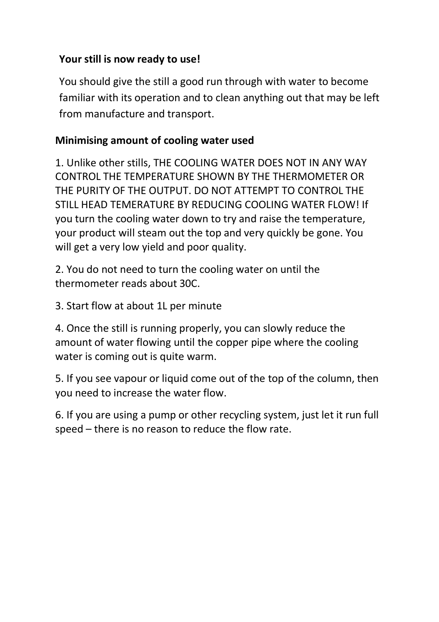### **Your still is now ready to use!**

You should give the still a good run through with water to become familiar with its operation and to clean anything out that may be left from manufacture and transport.

### **Minimising amount of cooling water used**

1. Unlike other stills, THE COOLING WATER DOES NOT IN ANY WAY CONTROL THE TEMPERATURE SHOWN BY THE THERMOMETER OR THE PURITY OF THE OUTPUT. DO NOT ATTEMPT TO CONTROL THE STILL HEAD TEMERATURE BY REDUCING COOLING WATER FLOW! If you turn the cooling water down to try and raise the temperature, your product will steam out the top and very quickly be gone. You will get a very low yield and poor quality.

2. You do not need to turn the cooling water on until the thermometer reads about 30C.

3. Start flow at about 1L per minute

4. Once the still is running properly, you can slowly reduce the amount of water flowing until the copper pipe where the cooling water is coming out is quite warm.

5. If you see vapour or liquid come out of the top of the column, then you need to increase the water flow.

6. If you are using a pump or other recycling system, just let it run full speed – there is no reason to reduce the flow rate.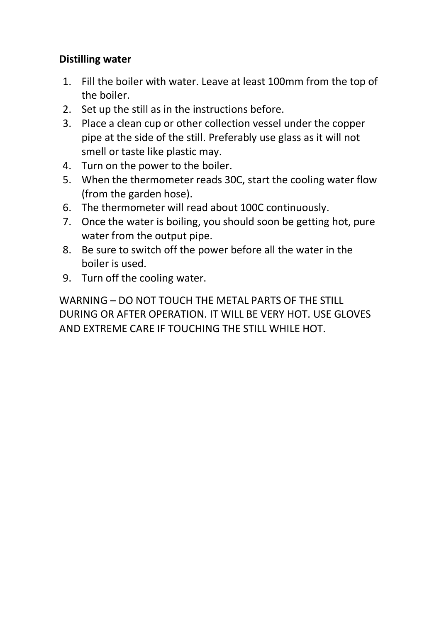#### **Distilling water**

- 1. Fill the boiler with water. Leave at least 100mm from the top of the boiler.
- 2. Set up the still as in the instructions before.
- 3. Place a clean cup or other collection vessel under the copper pipe at the side of the still. Preferably use glass as it will not smell or taste like plastic may.
- 4. Turn on the power to the boiler.
- 5. When the thermometer reads 30C, start the cooling water flow (from the garden hose).
- 6. The thermometer will read about 100C continuously.
- 7. Once the water is boiling, you should soon be getting hot, pure water from the output pipe.
- 8. Be sure to switch off the power before all the water in the boiler is used.
- 9. Turn off the cooling water.

WARNING – DO NOT TOUCH THE METAL PARTS OF THE STILL DURING OR AFTER OPERATION. IT WILL BE VERY HOT. USE GLOVES AND EXTREME CARE IF TOUCHING THE STILL WHILE HOT.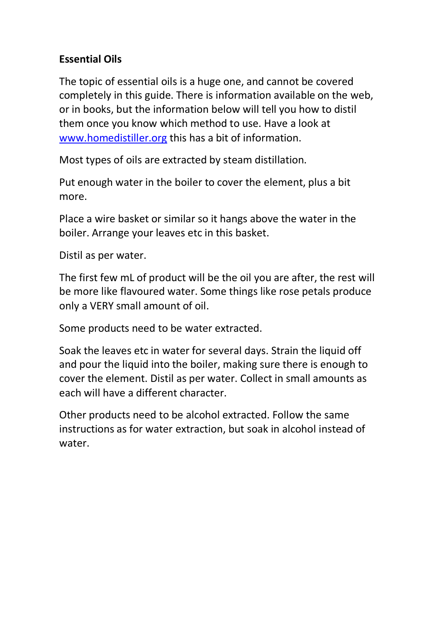#### **Essential Oils**

The topic of essential oils is a huge one, and cannot be covered completely in this guide. There is information available on the web, or in books, but the information below will tell you how to distil them once you know which method to use. Have a look at www.homedistiller.org this has a bit of information.

Most types of oils are extracted by steam distillation.

Put enough water in the boiler to cover the element, plus a bit more.

Place a wire basket or similar so it hangs above the water in the boiler. Arrange your leaves etc in this basket.

Distil as per water.

The first few mL of product will be the oil you are after, the rest will be more like flavoured water. Some things like rose petals produce only a VERY small amount of oil.

Some products need to be water extracted.

Soak the leaves etc in water for several days. Strain the liquid off and pour the liquid into the boiler, making sure there is enough to cover the element. Distil as per water. Collect in small amounts as each will have a different character.

Other products need to be alcohol extracted. Follow the same instructions as for water extraction, but soak in alcohol instead of water.